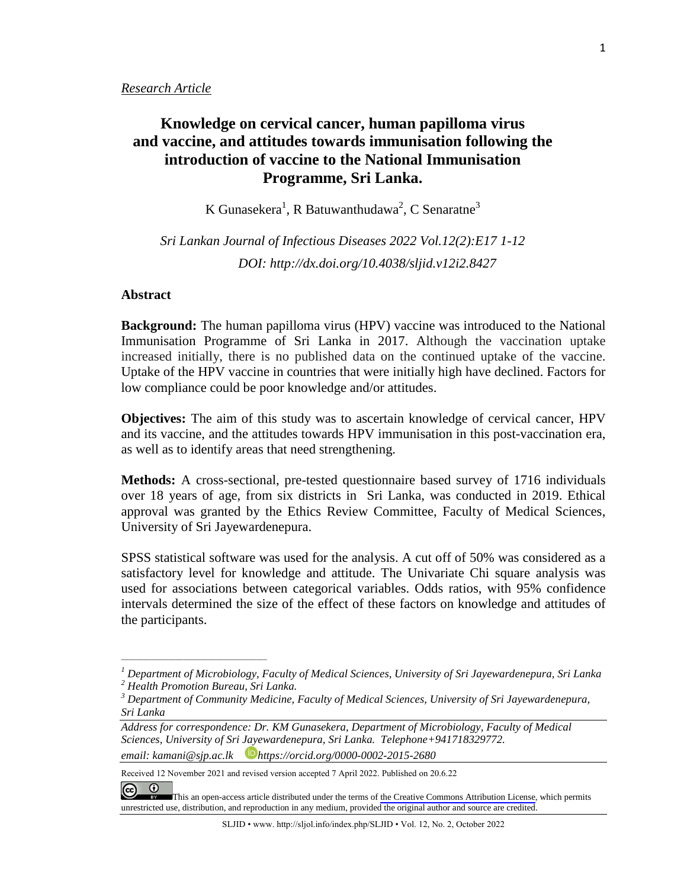#### *Research Article*

# **Knowledge on cervical cancer, human papilloma virus and vaccine, and attitudes towards immunisation following the introduction of vaccine to the National Immunisation Programme, Sri Lanka.**

K Gunasekera $^1$ , R Batuwanthudawa $^2$ , C Senaratne $^3$ 

*Sri Lankan Journal of Infectious Diseases 2022 Vol.12(2):E17 1-12 DOI: [http://dx.doi.org/1](about:blank)0.4038/sljid.v12i2.8427*

# **Abstract**

**Background:** The human papilloma virus (HPV) vaccine was introduced to the National Immunisation Programme of Sri Lanka in 2017. Although the vaccination uptake increased initially, there is no published data on the continued uptake of the vaccine. Uptake of the HPV vaccine in countries that were initially high have declined. Factors for low compliance could be poor knowledge and/or attitudes.

**Objectives:** The aim of this study was to ascertain knowledge of cervical cancer, HPV and its vaccine, and the attitudes towards HPV immunisation in this post-vaccination era, as well as to identify areas that need strengthening.

**Methods:** A cross-sectional, pre-tested questionnaire based survey of 1716 individuals over 18 years of age, from six districts in Sri Lanka, was conducted in 2019. Ethical approval was granted by the Ethics Review Committee, Faculty of Medical Sciences, University of Sri Jayewardenepura.

SPSS statistical software was used for the analysis. A cut off of 50% was considered as a satisfactory level for knowledge and attitude. The Univariate Chi square analysis was used for associations between categorical variables. Odds ratios, with 95% confidence intervals determined the size of the effect of these factors on knowledge and attitudes of the participants.

*\_\_\_\_\_\_\_\_\_\_\_\_\_\_\_\_\_\_\_\_\_\_\_\_\_\_\_\_\_\_\_\_\_\_\_\_\_\_\_\_*

<sup>&</sup>lt;sup>1</sup> Department of Microbiology, Faculty of Medical Sciences, University of Sri Jayewardenepura, Sri Lanka<br><sup>2</sup> Health Promotion Bureau, Sri Lanka.<br><sup>3</sup> Department of Community Medicine, Faculty of Medical Sciences, Universi

*Sri Lanka*

*Address for correspondence: Dr. KM Gunasekera, Department of Microbiology, Faculty of Medical Sciences, University of Sri Jayewardenepura, Sri Lanka. Telephone+941718329772. email: [kamani@sjp.ac.lk](mailto:dr.srmicro@gmail.com) https://orcid.org/0000-0002-2015-2680*

Received 12 November 2021 and revised version accepted 7 April 2022. Published on 20.6.22

 $\odot$  $\odot$ [T](https://creativecommons.org/licenses/by/4.0/)his an open-access article distributed under the terms of the Creative Commons [Attribution](https://creativecommons.org/licenses/by/4.0/) License, which permits unrestricted use, distribution, and reproduction in any medium, provided the original author and source are credited.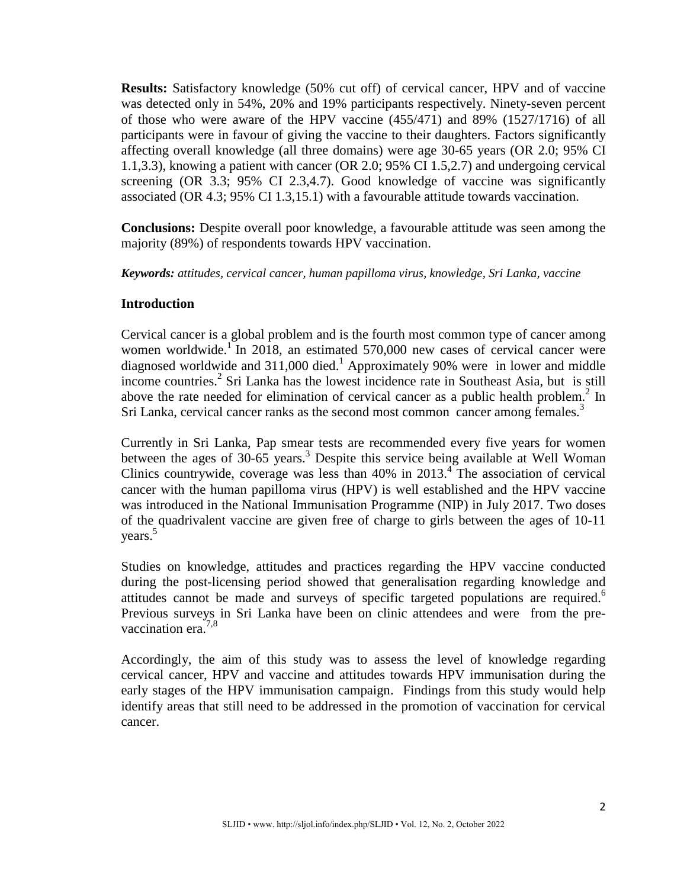**Results:** Satisfactory knowledge (50% cut off) of cervical cancer, HPV and of vaccine was detected only in 54%, 20% and 19% participants respectively. Ninety-seven percent of those who were aware of the HPV vaccine (455/471) and 89% (1527/1716) of all participants were in favour of giving the vaccine to their daughters. Factors significantly affecting overall knowledge (all three domains) were age 30-65 years (OR 2.0; 95% CI 1.1,3.3), knowing a patient with cancer (OR 2.0; 95% CI 1.5,2.7) and undergoing cervical screening (OR 3.3; 95% CI 2.3,4.7). Good knowledge of vaccine was significantly associated (OR 4.3; 95% CI 1.3,15.1) with a favourable attitude towards vaccination.

**Conclusions:** Despite overall poor knowledge, a favourable attitude was seen among the majority (89%) of respondents towards HPV vaccination.

*Keywords: attitudes, cervical cancer, human papilloma virus, knowledge, Sri Lanka, vaccine*

# **Introduction**

Cervical cancer is a global problem and is the fourth most common type of cancer among women worldwide.<sup>1</sup> In 2018, an estimated 570,000 new cases of cervical cancer were diagnosed worldwide and 311,000 died. <sup>1</sup> Approximately 90% were in lower and middle income countries. <sup>2</sup> Sri Lanka has the lowest incidence rate in Southeast Asia, but is still above the rate needed for elimination of cervical cancer as a public health problem.<sup>2</sup> In Sri Lanka, cervical cancer ranks as the second most common cancer among females.<sup>3</sup>

Currently in Sri Lanka, Pap smear tests are recommended every five years for women between the ages of 30-65 years. <sup>3</sup> Despite this service being available at Well Woman Clinics countrywide, coverage was less than 40% in 2013. <sup>4</sup> The association of cervical cancer with the human papilloma virus (HPV) is well established and the HPV vaccine was introduced in the National Immunisation Programme (NIP) in July 2017. Two doses of the quadrivalent vaccine are given free of charge to girls between the ages of 10-11 years. 5

Studies on knowledge, attitudes and practices regarding the HPV vaccine conducted during the post-licensing period showed that generalisation regarding knowledge and attitudes cannot be made and surveys of specific targeted populations are required. 6 Previous surveys in Sri Lanka have been on clinic attendees and were from the prevaccination era.<sup>7,8</sup>

Accordingly, the aim of this study was to assess the level of knowledge regarding cervical cancer, HPV and vaccine and attitudes towards HPV immunisation during the early stages of the HPV immunisation campaign. Findings from this study would help identify areas that still need to be addressed in the promotion of vaccination for cervical cancer.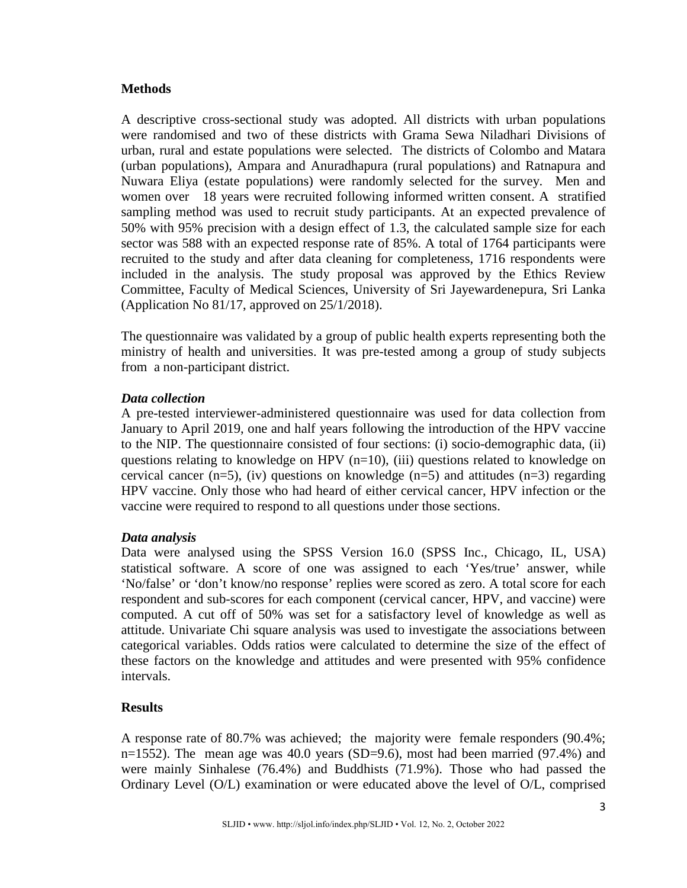# **Methods**

A descriptive cross-sectional study was adopted. All districts with urban populations were randomised and two of these districts with Grama Sewa Niladhari Divisions of urban, rural and estate populations were selected. The districts of Colombo and Matara (urban populations), Ampara and Anuradhapura (rural populations) and Ratnapura and Nuwara Eliya (estate populations) were randomly selected for the survey. Men and women over 18 years were recruited following informed written consent. A stratified sampling method was used to recruit study participants. At an expected prevalence of 50% with 95% precision with a design effect of 1.3, the calculated sample size for each sector was 588 with an expected response rate of 85%. A total of 1764 participants were recruited to the study and after data cleaning for completeness, 1716 respondents were included in the analysis. The study proposal was approved by the Ethics Review Committee, Faculty of Medical Sciences, University of Sri Jayewardenepura, Sri Lanka (Application No 81/17, approved on 25/1/2018).

The questionnaire was validated by a group of public health experts representing both the ministry of health and universities. It was pre-tested among a group of study subjects from a non-participant district.

# *Data collection*

A pre-tested interviewer-administered questionnaire was used for data collection from January to April 2019, one and half years following the introduction of the HPV vaccine to the NIP. The questionnaire consisted of four sections: (i) socio-demographic data, (ii) questions relating to knowledge on HPV  $(n=10)$ , (iii) questions related to knowledge on cervical cancer (n=5), (iv) questions on knowledge (n=5) and attitudes (n=3) regarding HPV vaccine. Only those who had heard of either cervical cancer, HPV infection or the vaccine were required to respond to all questions under those sections.

# *Data analysis*

Data were analysed using the SPSS Version 16.0 (SPSS Inc., Chicago, IL, USA) statistical software. A score of one was assigned to each 'Yes/true' answer, while 'No/false' or 'don't know/no response' replies were scored as zero. A total score for each respondent and sub-scores for each component (cervical cancer, HPV, and vaccine) were computed. A cut off of 50% was set for a satisfactory level of knowledge as well as attitude. Univariate Chi square analysis was used to investigate the associations between categorical variables. Odds ratios were calculated to determine the size of the effect of these factors on the knowledge and attitudes and were presented with 95% confidence intervals.

# **Results**

A response rate of 80.7% was achieved; the majority were female responders (90.4%; n=1552). The mean age was  $40.0$  years (SD=9.6), most had been married (97.4%) and were mainly Sinhalese (76.4%) and Buddhists (71.9%). Those who had passed the Ordinary Level (O/L) examination or were educated above the level of O/L, comprised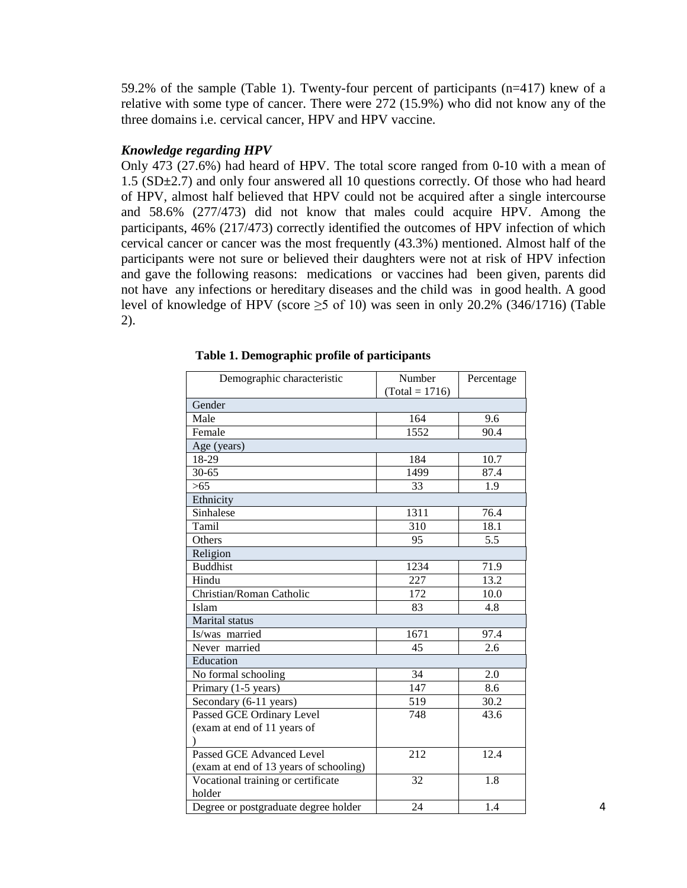59.2% of the sample (Table 1). Twenty-four percent of participants (n=417) knew of a relative with some type of cancer. There were 272 (15.9%) who did not know any of the three domains i.e. cervical cancer, HPV and HPV vaccine.

# *Knowledge regarding HPV*

Only 473 (27.6%) had heard of HPV. The total score ranged from 0-10 with a mean of 1.5 (SD**±**2.7) and only four answered all 10 questions correctly. Of those who had heard of HPV, almost half believed that HPV could not be acquired after a single intercourse and 58.6% (277/473) did not know that males could acquire HPV. Among the participants, 46% (217/473) correctly identified the outcomes of HPV infection of which cervical cancer or cancer was the most frequently (43.3%) mentioned. Almost half of the participants were not sure or believed their daughters were not at risk of HPV infection and gave the following reasons: medications or vaccines had been given, parents did not have any infections or hereditary diseases and the child was in good health. A good level of knowledge of HPV (score  $\geq$ 5 of 10) was seen in only 20.2% (346/1716) (Table 2).

| Demographic characteristic             | Number           | Percentage |  |
|----------------------------------------|------------------|------------|--|
|                                        | $(Total = 1716)$ |            |  |
| Gender                                 |                  |            |  |
| Male                                   | 164              | 9.6        |  |
| Female                                 | 1552             | 90.4       |  |
| Age (years)                            |                  |            |  |
| 18-29                                  | 184              | 10.7       |  |
| $30 - 65$                              | 1499             | 87.4       |  |
| $>65$                                  | 33               | 1.9        |  |
| Ethnicity                              |                  |            |  |
| Sinhalese                              | 1311             | 76.4       |  |
| Tamil                                  | 310              | 18.1       |  |
| Others                                 | 95               | 5.5        |  |
| Religion                               |                  |            |  |
| <b>Buddhist</b>                        | 1234             | 71.9       |  |
| Hindu                                  | 227              | 13.2       |  |
| Christian/Roman Catholic               | 172              | 10.0       |  |
| Islam                                  | 83               | 4.8        |  |
| Marital status                         |                  |            |  |
| Is/was married                         | 1671             | 97.4       |  |
| Never married                          | 45               | 2.6        |  |
| Education                              |                  |            |  |
| No formal schooling                    | 34               | 2.0        |  |
| Primary (1-5 years)                    | 147              | 8.6        |  |
| Secondary (6-11 years)                 | 519              | 30.2       |  |
| Passed GCE Ordinary Level              | 748              | 43.6       |  |
| (exam at end of 11 years of            |                  |            |  |
|                                        |                  |            |  |
| <b>Passed GCE Advanced Level</b>       | 212              | 12.4       |  |
| (exam at end of 13 years of schooling) |                  |            |  |
| Vocational training or certificate     | 32               | 1.8        |  |
| holder                                 |                  |            |  |
| Degree or postgraduate degree holder   | 24               | 1.4        |  |

### **Table 1. Demographic profile of participants**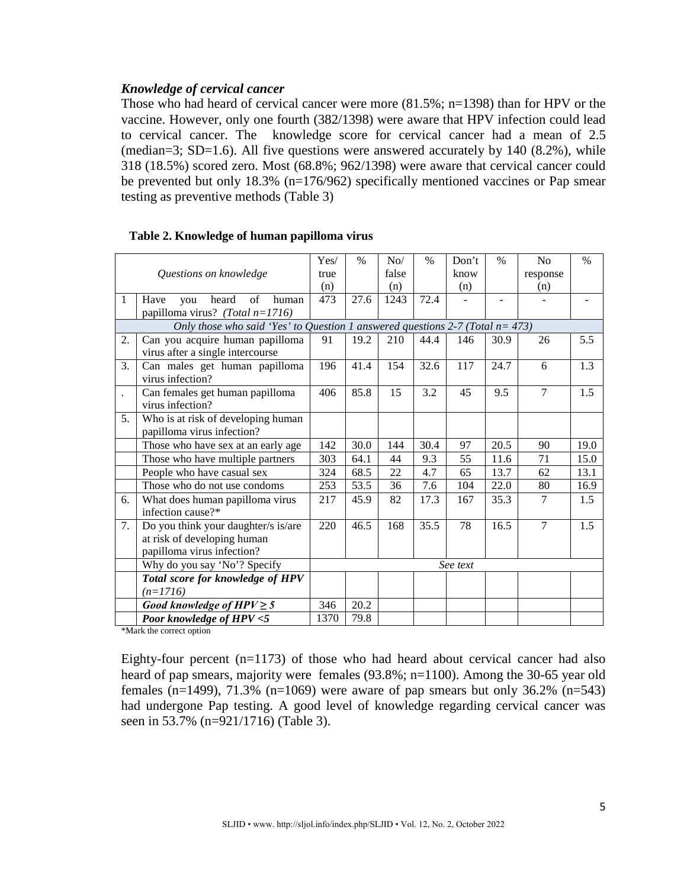# *Knowledge of cervical cancer*

Those who had heard of cervical cancer were more (81.5%; n=1398) than for HPV or the vaccine. However, only one fourth (382/1398) were aware that HPV infection could lead to cervical cancer. The knowledge score for cervical cancer had a mean of 2.5 (median=3; SD=1.6). All five questions were answered accurately by  $140$  (8.2%), while 318 (18.5%) scored zero. Most (68.8%; 962/1398) were aware that cervical cancer could be prevented but only 18.3% (n=176/962) specifically mentioned vaccines or Pap smear testing as preventive methods (Table 3)

|                      |                                                                                   | $\rm Yes/$ | $\%$ | No/   | $\%$ | Don't    | $\%$ | No             | $\%$ |
|----------------------|-----------------------------------------------------------------------------------|------------|------|-------|------|----------|------|----------------|------|
|                      |                                                                                   |            |      | false |      |          |      |                |      |
|                      | Questions on knowledge                                                            | true       |      |       |      | know     |      | response       |      |
|                      |                                                                                   | (n)        |      | (n)   |      | (n)      |      | (n)            |      |
| 1                    | of<br>Have<br>heard<br>human<br>you                                               | 473        | 27.6 | 1243  | 72.4 |          |      |                |      |
|                      | papilloma virus? (Total $n=1716$ )                                                |            |      |       |      |          |      |                |      |
|                      | Only those who said 'Yes' to Question 1 answered questions 2-7 (Total $n = 473$ ) |            |      |       |      |          |      |                |      |
| 2.                   | Can you acquire human papilloma                                                   | 91         | 19.2 | 210   | 44.4 | 146      | 30.9 | 26             | 5.5  |
|                      | virus after a single intercourse                                                  |            |      |       |      |          |      |                |      |
| 3.                   | Can males get human papilloma                                                     | 196        | 41.4 | 154   | 32.6 | 117      | 24.7 | 6              | 1.3  |
|                      | virus infection?                                                                  |            |      |       |      |          |      |                |      |
| $\ddot{\phantom{0}}$ | Can females get human papilloma                                                   | 406        | 85.8 | 15    | 3.2  | 45       | 9.5  | $\overline{7}$ | 1.5  |
|                      | virus infection?                                                                  |            |      |       |      |          |      |                |      |
| 5.                   | Who is at risk of developing human                                                |            |      |       |      |          |      |                |      |
|                      | papilloma virus infection?                                                        |            |      |       |      |          |      |                |      |
|                      | Those who have sex at an early age                                                | 142        | 30.0 | 144   | 30.4 | 97       | 20.5 | 90             | 19.0 |
|                      | Those who have multiple partners                                                  | 303        | 64.1 | 44    | 9.3  | 55       | 11.6 | 71             | 15.0 |
|                      | People who have casual sex                                                        | 324        | 68.5 | 22    | 4.7  | 65       | 13.7 | 62             | 13.1 |
|                      | Those who do not use condoms                                                      | 253        | 53.5 | 36    | 7.6  | 104      | 22.0 | 80             | 16.9 |
| 6.                   | What does human papilloma virus                                                   | 217        | 45.9 | 82    | 17.3 | 167      | 35.3 | 7              | 1.5  |
|                      | infection cause?*                                                                 |            |      |       |      |          |      |                |      |
| 7.                   | Do you think your daughter/s is/are                                               | 220        | 46.5 | 168   | 35.5 | 78       | 16.5 | $\overline{7}$ | 1.5  |
|                      | at risk of developing human                                                       |            |      |       |      |          |      |                |      |
|                      | papilloma virus infection?                                                        |            |      |       |      |          |      |                |      |
|                      | Why do you say 'No'? Specify                                                      |            |      |       |      | See text |      |                |      |
|                      | Total score for knowledge of HPV                                                  |            |      |       |      |          |      |                |      |
|                      | $(n=1716)$                                                                        |            |      |       |      |          |      |                |      |
|                      | Good knowledge of $HPV \geq 5$                                                    | 346        | 20.2 |       |      |          |      |                |      |
|                      | Poor knowledge of HPV <5                                                          | 1370       | 79.8 |       |      |          |      |                |      |

#### **Table 2. Knowledge of human papilloma virus**

\*Mark the correct option

Eighty-four percent (n=1173) of those who had heard about cervical cancer had also heard of pap smears, majority were females (93.8%; n=1100). Among the 30-65 year old females (n=1499), 71.3% (n=1069) were aware of pap smears but only 36.2% (n=543) had undergone Pap testing. A good level of knowledge regarding cervical cancer was seen in 53.7% (n=921/1716) (Table 3).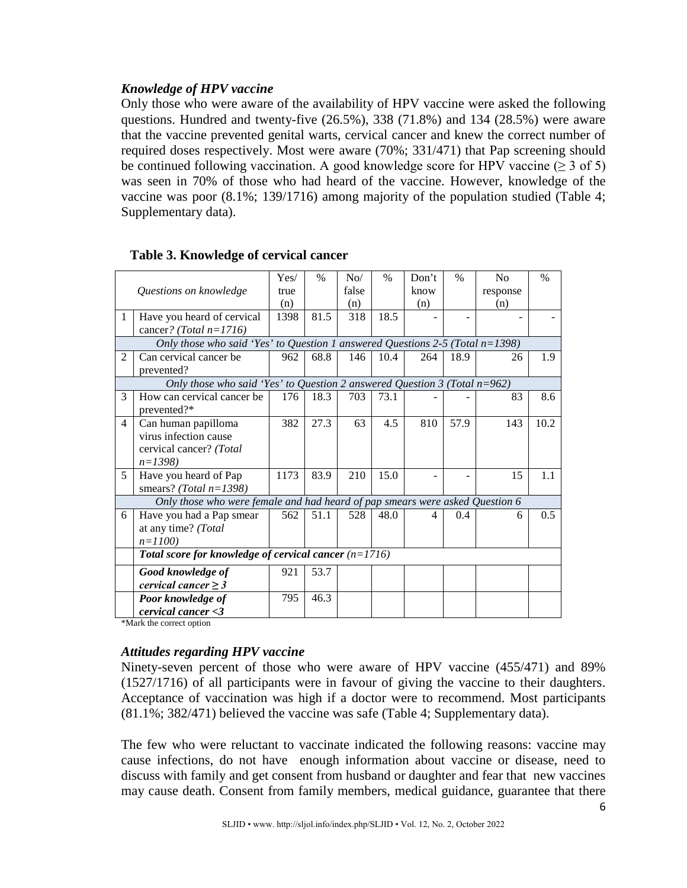# *Knowledge of HPV vaccine*

Only those who were aware of the availability of HPV vaccine were asked the following questions. Hundred and twenty-five (26.5%), 338 (71.8%) and 134 (28.5%) were aware that the vaccine prevented genital warts, cervical cancer and knew the correct number of required doses respectively. Most were aware (70%; 331/471) that Pap screening should be continued following vaccination. A good knowledge score for HPV vaccine ( $\geq 3$  of 5) was seen in 70% of those who had heard of the vaccine. However, knowledge of the vaccine was poor (8.1%; 139/1716) among majority of the population studied (Table 4; Supplementary data).

|                |                                                                                  | Yes/ | $\%$ | No/   | $\%$ | Don't | $\frac{0}{0}$ | N <sub>o</sub> | $\frac{0}{0}$ |  |  |  |
|----------------|----------------------------------------------------------------------------------|------|------|-------|------|-------|---------------|----------------|---------------|--|--|--|
|                | Questions on knowledge                                                           | true |      | false |      | know  |               | response       |               |  |  |  |
|                |                                                                                  | (n)  |      | (n)   |      | (n)   |               | (n)            |               |  |  |  |
| 1              | Have you heard of cervical                                                       | 1398 | 81.5 | 318   | 18.5 |       |               |                |               |  |  |  |
|                | cancer? (Total $n=1716$ )                                                        |      |      |       |      |       |               |                |               |  |  |  |
|                | Only those who said 'Yes' to Question 1 answered Questions 2-5 (Total $n=1398$ ) |      |      |       |      |       |               |                |               |  |  |  |
| $\overline{2}$ | Can cervical cancer be                                                           | 962  | 68.8 | 146   | 10.4 | 264   | 18.9          | 26             | 1.9           |  |  |  |
|                | prevented?                                                                       |      |      |       |      |       |               |                |               |  |  |  |
|                | Only those who said 'Yes' to Question 2 answered Question 3 (Total $n=962$ )     |      |      |       |      |       |               |                |               |  |  |  |
| 3              | How can cervical cancer be                                                       | 176  | 18.3 | 703   | 73.1 |       |               | 83             | 8.6           |  |  |  |
|                | prevented?*                                                                      |      |      |       |      |       |               |                |               |  |  |  |
| 4              | Can human papilloma                                                              | 382  | 27.3 | 63    | 4.5  | 810   | 57.9          | 143            | 10.2          |  |  |  |
|                | virus infection cause                                                            |      |      |       |      |       |               |                |               |  |  |  |
|                | cervical cancer? (Total                                                          |      |      |       |      |       |               |                |               |  |  |  |
|                | $n=1398$                                                                         |      |      |       |      |       |               |                |               |  |  |  |
| 5              | Have you heard of Pap                                                            | 1173 | 83.9 | 210   | 15.0 |       |               | 15             | 1.1           |  |  |  |
|                | smears? (Total $n=1398$ )                                                        |      |      |       |      |       |               |                |               |  |  |  |
|                | Only those who were female and had heard of pap smears were asked Question 6     |      |      |       |      |       |               |                |               |  |  |  |
| 6              | Have you had a Pap smear                                                         | 562  | 51.1 | 528   | 48.0 | 4     | 0.4           | 6              | 0.5           |  |  |  |
|                | at any time? (Total                                                              |      |      |       |      |       |               |                |               |  |  |  |
|                | $n=1100$                                                                         |      |      |       |      |       |               |                |               |  |  |  |
|                | Total score for knowledge of cervical cancer $(n=1716)$                          |      |      |       |      |       |               |                |               |  |  |  |
|                | Good knowledge of                                                                | 921  | 53.7 |       |      |       |               |                |               |  |  |  |
|                | cervical cancer $\geq$ 3                                                         |      |      |       |      |       |               |                |               |  |  |  |
|                | Poor knowledge of                                                                | 795  | 46.3 |       |      |       |               |                |               |  |  |  |
|                | cervical cancer < 3                                                              |      |      |       |      |       |               |                |               |  |  |  |

# **Table 3. Knowledge of cervical cancer**

\*Mark the correct option

# *Attitudes regarding HPV vaccine*

Ninety-seven percent of those who were aware of HPV vaccine (455/471) and 89% (1527/1716) of all participants were in favour of giving the vaccine to their daughters. Acceptance of vaccination was high if a doctor were to recommend. Most participants (81.1%; 382/471) believed the vaccine was safe (Table 4; Supplementary data).

The few who were reluctant to vaccinate indicated the following reasons: vaccine may cause infections, do not have enough information about vaccine or disease, need to discuss with family and get consent from husband or daughter and fear that new vaccines may cause death. Consent from family members, medical guidance, guarantee that there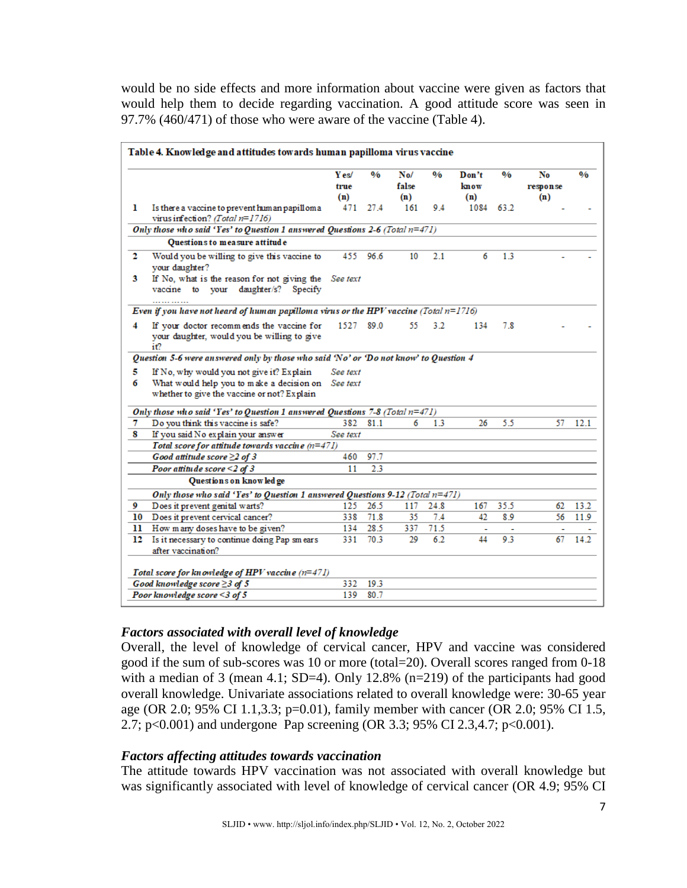would be no side effects and more information about vaccine were given as factors that would help them to decide regarding vaccination. A good attitude score was seen in 97.7% (460/471) of those who were aware of the vaccine (Table 4).

|    |                                                                                                 | Y es/<br>true<br>(n) | 0/6  | No/<br>false<br>(n) | 0/6  | Don't<br>know<br>(n) | 0/6  | No<br>response<br>(n) | 0/6  |
|----|-------------------------------------------------------------------------------------------------|----------------------|------|---------------------|------|----------------------|------|-----------------------|------|
| ı  | Is there a vaccine to prevent human papilloma<br>virus infection? (Total $n=1716$ )             | 471                  | 27.4 | 161                 | 9.4  | 1084                 | 63.2 |                       |      |
|    | Only those who said 'Yes' to Question 1 answered Questions 2-6 (Total $n=471$ )                 |                      |      |                     |      |                      |      |                       |      |
|    | Questions to measure attitude                                                                   |                      |      |                     |      |                      |      |                       |      |
| 2  | Would you be willing to give this vaccine to<br>your daughter?                                  | 455                  | 96.6 | 10                  | 2.1  | 6                    | 1.3  |                       |      |
| 3  | If No, what is the reason for not giving the See text<br>vaccine to your daughter/s? Specify    |                      |      |                     |      |                      |      |                       |      |
|    | Even if you have not heard of human papilloma virus or the HPV vaccine (Total $n=1716$ )        |                      |      |                     |      |                      |      |                       |      |
| 4  | If your doctor recommends the vaccine for<br>your daughter, would you be willing to give<br>iť? | 1527                 | 89.0 | 55                  | 3.2  | 134                  | 7.8  |                       |      |
|    | Question 5-6 were answered only by those who said 'No' or 'Do not know' to Question 4           |                      |      |                     |      |                      |      |                       |      |
| 5  | If No, why would you not give it? Explain                                                       | See text             |      |                     |      |                      |      |                       |      |
| 6  | What would help you to make a decision on<br>whether to give the vaccine or not? Explain        | See text             |      |                     |      |                      |      |                       |      |
|    | Only those who said 'Yes' to Question 1 answered Questions 7-8 (Total $n=471$ )                 |                      |      |                     |      |                      |      |                       |      |
| 7  | Do you think this vaccine is safe?                                                              | 382                  | 81.1 | 6                   | 1.3  | 26                   | 5.5  | 57                    | 12.1 |
| 8  | If you said No explain your answer                                                              | See text             |      |                     |      |                      |      |                       |      |
|    | Total score for attitude towards vaccine $(n=471)$                                              |                      |      |                     |      |                      |      |                       |      |
|    | Good attitude score $\geq$ 2 of 3                                                               | 460                  | 97.7 |                     |      |                      |      |                       |      |
|    | Poor attitude score $\leq$ 2 of 3                                                               | 11                   | 2.3  |                     |      |                      |      |                       |      |
|    | Questions on knowledge                                                                          |                      |      |                     |      |                      |      |                       |      |
|    | Only those who said 'Yes' to Question 1 answered Questions 9-12 (Total $n=471$ )                |                      |      |                     |      |                      |      |                       |      |
| 9  | Does it prevent genital warts?                                                                  | 125                  | 26.5 | 117                 | 24.8 | 167                  | 35.5 | 62                    | 13.2 |
| 10 | Does it prevent cervical cancer?                                                                | 338                  | 71.8 | 35                  | 7.4  | 42                   | 8.9  | 56                    | 11.9 |
| 11 | How many doses have to be given?                                                                | 134                  | 28.5 | 337                 | 71.5 |                      |      |                       |      |
| 12 | Is it necessary to continue doing Pap sm ears<br>after vaccination?                             | 331                  | 70.3 | 29                  | 6.2  | 44                   | 9.3  | 67                    | 14.2 |
|    | Total score for knowledge of HPV vaccine (n=471)                                                |                      |      |                     |      |                      |      |                       |      |
|    | Good knowledge score $\geq$ 3 of 5                                                              | 332                  | 19.3 |                     |      |                      |      |                       |      |
|    | Poor knowledge score $\leq$ 3 of 5                                                              | 139                  | 80.7 |                     |      |                      |      |                       |      |

# *Factors associated with overall level of knowledge*

Overall, the level of knowledge of cervical cancer, HPV and vaccine was considered good if the sum of sub-scores was 10 or more (total=20). Overall scores ranged from 0-18 with a median of 3 (mean 4.1; SD=4). Only 12.8% (n=219) of the participants had good overall knowledge. Univariate associations related to overall knowledge were: 30-65 year age (OR 2.0; 95% CI 1.1,3.3; p=0.01), family member with cancer (OR 2.0; 95% CI 1.5, 2.7; p<0.001) and undergone Pap screening (OR 3.3; 95% CI 2.3,4.7; p<0.001).

# *Factors affecting attitudes towards vaccination*

The attitude towards HPV vaccination was not associated with overall knowledge but was significantly associated with level of knowledge of cervical cancer (OR 4.9; 95% CI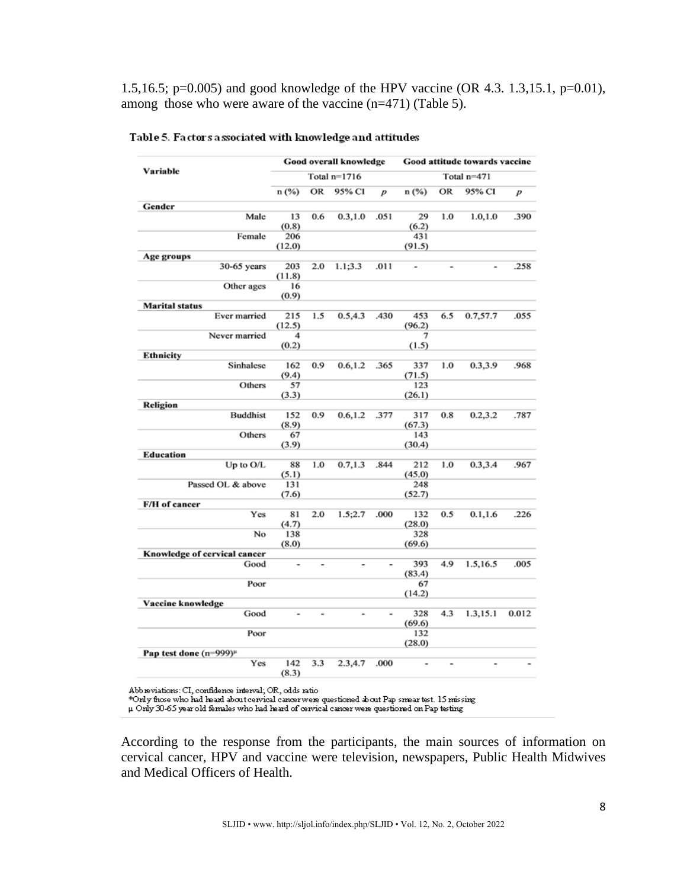1.5,16.5; p=0.005) and good knowledge of the HPV vaccine (OR 4.3. 1.3,15.1, p=0.01), among those who were aware of the vaccine (n=471) (Table 5).

| Variable                           |                |                | Good overall knowledge |                  | Good attitude towards vaccine |                |                |       |  |  |
|------------------------------------|----------------|----------------|------------------------|------------------|-------------------------------|----------------|----------------|-------|--|--|
|                                    |                |                | Total $n=1716$         |                  | Total n=471                   |                |                |       |  |  |
|                                    | n (%)          | OR             | 95% CI                 | $\boldsymbol{p}$ | n(%)                          | OR             | 95% CI         | p     |  |  |
| Gender                             |                |                |                        |                  |                               |                |                |       |  |  |
| Male                               | 13             | 0.6            | 0.3, 1.0               | .051             | 29                            | 1.0            | 1.0, 1.0       | .390  |  |  |
|                                    | (0.8)          |                |                        |                  | (6.2)                         |                |                |       |  |  |
| Female                             | 206            |                |                        |                  | 431                           |                |                |       |  |  |
|                                    | (12.0)         |                |                        |                  | (91.5)                        |                |                |       |  |  |
| Age groups<br>30-65 years          | 203            | 2.0            | 1.1:3.3                | .011             | $\overline{\phantom{a}}$      | $\overline{a}$ | $\overline{a}$ | .258  |  |  |
|                                    | (11.8)         |                |                        |                  |                               |                |                |       |  |  |
| Other ages                         | 16             |                |                        |                  |                               |                |                |       |  |  |
|                                    | (0.9)          |                |                        |                  |                               |                |                |       |  |  |
| <b>Marital status</b>              |                |                |                        |                  |                               |                |                |       |  |  |
| Ever married                       | 215            | 1.5            | 0.5,4.3                | .430             | 453                           | 6.5            | 0.7,57.7       | .055  |  |  |
|                                    | (12.5)         |                |                        |                  | (96.2)                        |                |                |       |  |  |
| Never married                      | 4              |                |                        |                  | 7                             |                |                |       |  |  |
|                                    | (0.2)          |                |                        |                  | (1.5)                         |                |                |       |  |  |
| Ethnicity                          |                |                |                        |                  |                               |                |                |       |  |  |
| Sinhalese                          | 162            | 0.9            | 0.6, 1.2               | .365             | 337                           | 1.0            | 0.3,3.9        | .968  |  |  |
| Others                             | (9.4)          |                |                        |                  | (71.5)<br>123                 |                |                |       |  |  |
|                                    | 57<br>(3.3)    |                |                        |                  | (26.1)                        |                |                |       |  |  |
| Religion                           |                |                |                        |                  |                               |                |                |       |  |  |
| <b>Buddhist</b>                    | 152            | 0.9            | 0.6, 1.2               | .377             | 317                           | 0.8            | 0.2,3.2        | .787  |  |  |
|                                    | (8.9)          |                |                        |                  | (67.3)                        |                |                |       |  |  |
| Others                             | 67             |                |                        |                  | 143                           |                |                |       |  |  |
|                                    | (3.9)          |                |                        |                  | (30.4)                        |                |                |       |  |  |
| <b>Education</b>                   |                |                |                        |                  |                               |                |                |       |  |  |
| Up to O/L                          | 88             | 1.0            | 0.7,1.3                | .844             | 212                           | 1.0            | 0.3,3.4        | .967  |  |  |
|                                    | (5.1)          |                |                        |                  | (45.0)                        |                |                |       |  |  |
| Passed OL & above                  | 131            |                |                        |                  | 248                           |                |                |       |  |  |
|                                    | (7.6)          |                |                        |                  | (52.7)                        |                |                |       |  |  |
| F/H of cancer<br>Yes               |                | 2.0            | 1.5;2.7                | .000             |                               | 0.5            | 0.1, 1.6       | .226  |  |  |
|                                    | 81<br>(4.7)    |                |                        |                  | 132<br>(28.0)                 |                |                |       |  |  |
| No                                 | 138            |                |                        |                  | 328                           |                |                |       |  |  |
|                                    | (8.0)          |                |                        |                  | (69.6)                        |                |                |       |  |  |
| Knowledge of cervical cancer       |                |                |                        |                  |                               |                |                |       |  |  |
| Good                               | $\blacksquare$ | $\overline{a}$ |                        |                  | 393                           | 4.9            | 1.5,16.5       | .005  |  |  |
|                                    |                |                |                        |                  | (83.4)                        |                |                |       |  |  |
| Poor                               |                |                |                        |                  | 67                            |                |                |       |  |  |
|                                    |                |                |                        |                  | (14.2)                        |                |                |       |  |  |
| Vaccine knowledge                  |                |                |                        |                  |                               |                |                |       |  |  |
| Good                               | ۰              | ٠              |                        |                  | 328                           | 4.3            | 1.3,15.1       | 0.012 |  |  |
| Poor                               |                |                |                        |                  | (69.6)<br>132                 |                |                |       |  |  |
|                                    |                |                |                        |                  | (28.0)                        |                |                |       |  |  |
| Pap test done (n=999) <sup>µ</sup> |                |                |                        |                  |                               |                |                |       |  |  |
| Yes                                | 142            | 3.3            | 2.3,4.7                | .000             | $\overline{a}$                |                |                |       |  |  |
|                                    | (8.3)          |                |                        |                  |                               |                |                |       |  |  |
|                                    |                |                |                        |                  |                               |                |                |       |  |  |

Table 5. Factors associated with knowledge and attitudes

Abb reviations: CI, confidence interval; OR, odds ratio<br>\*Only fhose who had heard about cervical cancer were questioned about Pap smear test. 15 missing<br>μ Only 30-65 year old females who had heard of cervical cancer were

According to the response from the participants, the main sources of information on cervical cancer, HPV and vaccine were television, newspapers, Public Health Midwives and Medical Officers of Health.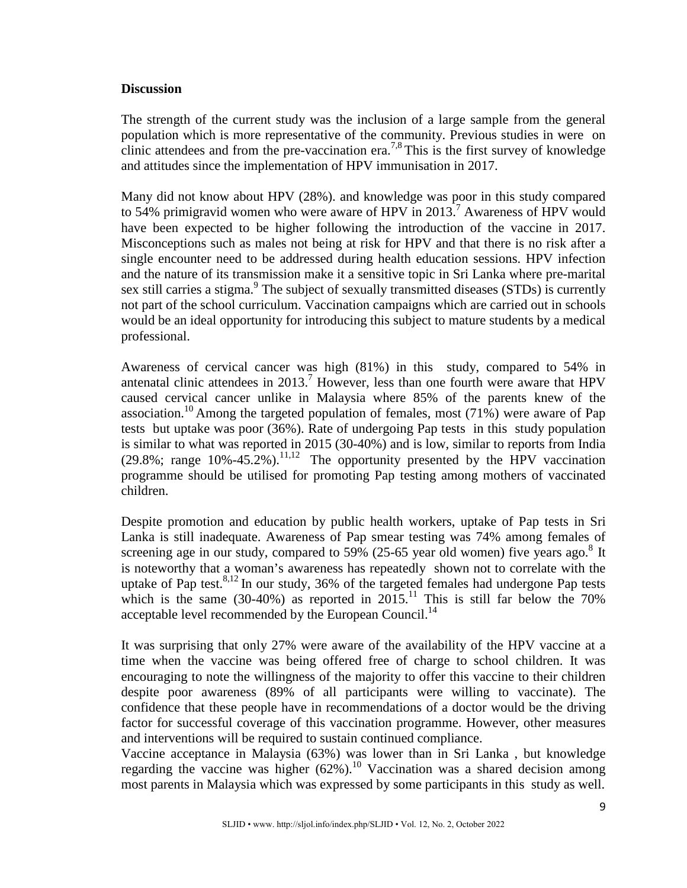# **Discussion**

The strength of the current study was the inclusion of a large sample from the general population which is more representative of the community. Previous studies in were on clinic attendees and from the pre-vaccination era.<sup>7,8</sup> This is the first survey of knowledge and attitudes since the implementation of HPV immunisation in 2017.

Many did not know about HPV (28%). and knowledge was poor in this study compared to 54% primigravid women who were aware of HPV in 2013.<sup>7</sup> Awareness of HPV would have been expected to be higher following the introduction of the vaccine in 2017. Misconceptions such as males not being at risk for HPV and that there is no risk after a single encounter need to be addressed during health education sessions. HPV infection and the nature of its transmission make it a sensitive topic in Sri Lanka where pre-marital sex still carries a stigma.<sup>9</sup> The subject of sexually transmitted diseases (STDs) is currently not part of the school curriculum. Vaccination campaigns which are carried out in schools would be an ideal opportunity for introducing this subject to mature students by a medical professional.

Awareness of cervical cancer was high (81%) in this study, compared to 54% in antenatal clinic attendees in 2013. <sup>7</sup> However, less than one fourth were aware that HPV caused cervical cancer unlike in Malaysia where 85% of the parents knew of the association.<sup>10</sup> Among the targeted population of females, most (71%) were aware of Pap tests but uptake was poor (36%). Rate of undergoing Pap tests in this study population is similar to what was reported in 2015 (30-40%) and is low, similar to reports from India (29.8%; range  $10\% -45.2\%$ ).<sup>11,12</sup> The opportunity presented by the HPV vaccination programme should be utilised for promoting Pap testing among mothers of vaccinated children.

Despite promotion and education by public health workers, uptake of Pap tests in Sri Lanka is still inadequate. Awareness of Pap smear testing was 74% among females of screening age in our study, compared to  $59\%$  (25-65 year old women) five years ago.<sup>8</sup> It is noteworthy that a woman's awareness has repeatedly shown not to correlate with the uptake of Pap test.<sup>8,12</sup> In our study, 36% of the targeted females had undergone Pap tests which is the same  $(30-40%)$  as reported in  $2015$ .<sup>11</sup> This is still far below the 70% acceptable level recommended by the European Council.<sup>14</sup>

It was surprising that only 27% were aware of the availability of the HPV vaccine at a time when the vaccine was being offered free of charge to school children. It was encouraging to note the willingness of the majority to offer this vaccine to their children despite poor awareness (89% of all participants were willing to vaccinate). The confidence that these people have in recommendations of a doctor would be the driving factor for successful coverage of this vaccination programme. However, other measures and interventions will be required to sustain continued compliance.

Vaccine acceptance in Malaysia (63%) was lower than in Sri Lanka , but knowledge regarding the vaccine was higher  $(62%)$ .<sup>10</sup> Vaccination was a shared decision among most parents in Malaysia which was expressed by some participants in this study as well.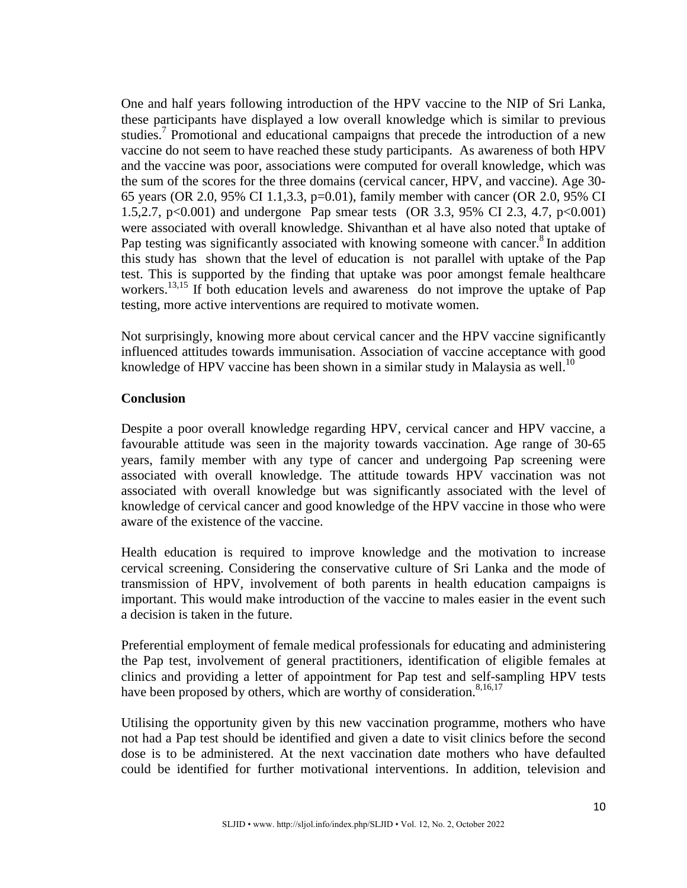One and half years following introduction of the HPV vaccine to the NIP of Sri Lanka, these participants have displayed a low overall knowledge which is similar to previous studies.<sup>7</sup> Promotional and educational campaigns that precede the introduction of a new vaccine do not seem to have reached these study participants. As awareness of both HPV and the vaccine was poor, associations were computed for overall knowledge, which was the sum of the scores for the three domains (cervical cancer, HPV, and vaccine). Age 30- 65 years (OR 2.0, 95% CI 1.1,3.3, p=0.01), family member with cancer (OR 2.0, 95% CI 1.5,2.7, p<0.001) and undergone Pap smear tests (OR 3.3, 95% CI 2.3, 4.7, p<0.001) were associated with overall knowledge. Shivanthan et al have also noted that uptake of Pap testing was significantly associated with knowing someone with cancer.<sup>8</sup> In addition this study has shown that the level of education is not parallel with uptake of the Pap test. This is supported by the finding that uptake was poor amongst female healthcare workers.<sup>13,15</sup> If both education levels and awareness do not improve the uptake of Pap testing, more active interventions are required to motivate women.

Not surprisingly, knowing more about cervical cancer and the HPV vaccine significantly influenced attitudes towards immunisation. Association of vaccine acceptance with good knowledge of HPV vaccine has been shown in a similar study in Malaysia as well.<sup>10</sup>

# **Conclusion**

Despite a poor overall knowledge regarding HPV, cervical cancer and HPV vaccine, a favourable attitude was seen in the majority towards vaccination. Age range of 30-65 years, family member with any type of cancer and undergoing Pap screening were associated with overall knowledge. The attitude towards HPV vaccination was not associated with overall knowledge but was significantly associated with the level of knowledge of cervical cancer and good knowledge of the HPV vaccine in those who were aware of the existence of the vaccine.

Health education is required to improve knowledge and the motivation to increase cervical screening. Considering the conservative culture of Sri Lanka and the mode of transmission of HPV, involvement of both parents in health education campaigns is important. This would make introduction of the vaccine to males easier in the event such a decision is taken in the future.

Preferential employment of female medical professionals for educating and administering the Pap test, involvement of general practitioners, identification of eligible females at clinics and providing a letter of appointment for Pap test and self-sampling HPV tests have been proposed by others, which are worthy of consideration.<sup>8,16,17</sup>

Utilising the opportunity given by this new vaccination programme, mothers who have not had a Pap test should be identified and given a date to visit clinics before the second dose is to be administered. At the next vaccination date mothers who have defaulted could be identified for further motivational interventions. In addition, television and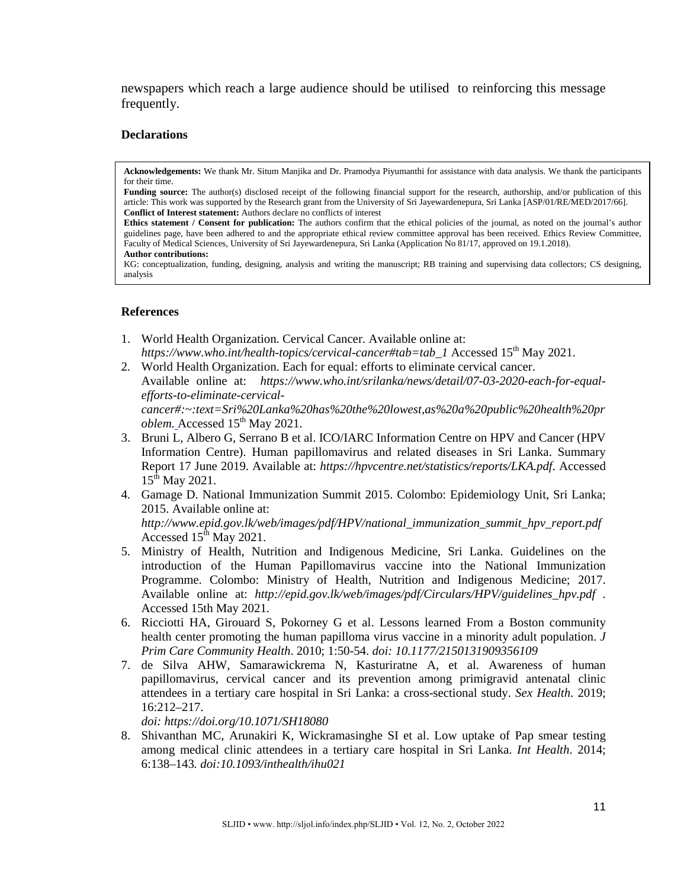newspapers which reach a large audience should be utilised to reinforcing this message frequently.

#### **Declarations**

**Acknowledgements:** We thank Mr. Situm Manjika and Dr. Pramodya Piyumanthi for assistance with data analysis. We thank the participants for their time.

Funding source: The author(s) disclosed receipt of the following financial support for the research, authorship, and/or publication of this article: This work was supported by the Research grant from the University of Sri Jayewardenepura, Sri Lanka [ASP/01/RE/MED/2017/66]. **Conflict of Interest statement:** Authors declare no conflicts of interest

Ethics statement / Consent for publication: The authors confirm that the ethical policies of the journal, as noted on the journal's author guidelines page, have been adhered to and the appropriate ethical review committee approval has been received. Ethics Review Committee, Faculty of Medical Sciences, University of Sri Jayewardenepura, Sri Lanka (Application No 81/17, approved on 19.1.2018).

#### **Author contributions:**

KG: conceptualization, funding, designing, analysis and writing the manuscript; RB training and supervising data collectors; CS designing, analysis

### **References**

- 1. World Health Organization. Cervical Cancer. Available online at: *[https://www.who.int/health-topics/cervical-cancer#tab=tab\\_1](https://www.who.int/health-topics/cervical-cancer#tab=tab_1)* Accessed 15<sup>th</sup> May 2021.
- 2. World Health Organization. Each for equal: efforts to eliminate cervical cancer. Available online at: *https://www.who.int/srilanka/news/detail/07-03-2020-each-for-equalefforts-to-eliminate-cervicalcancer#:~:text=Sri%20Lanka%20has%20the%20lowest,as%20a%20public%20health%20pr oblem.* Accessed  $15<sup>th</sup>$  May 2021.
- 3. Bruni L, Albero G, Serrano B et al. ICO/IARC Information Centre on HPV and Cancer (HPV Information Centre). Human papillomavirus and related diseases in Sri Lanka. Summary Report 17 June 2019. Available at: *https://hpvcentre.net/statistics/reports/LKA.pdf*. Accessed  $15^{th}$  May 2021.
- 4. Gamage D. National Immunization Summit 2015. Colombo: Epidemiology Unit, Sri Lanka; 2015. Available online at: *http://www.epid.gov.lk/web/images/pdf/HPV/national\_immunization\_summit\_hpv\_report.pdf*

Accessed  $15<sup>th</sup>$  May 2021.

- 5. Ministry of Health, Nutrition and Indigenous Medicine, Sri Lanka. Guidelines on the introduction of the Human Papillomavirus vaccine into the National Immunization Programme. Colombo: Ministry of Health, Nutrition and Indigenous Medicine; 2017. Available online at: *http://epid.gov.lk/web/images/pdf/Circulars/HPV/guidelines\_hpv.pdf* . Accessed 15th May 2021.
- 6. Ricciotti HA, Girouard S, Pokorney G et al. Lessons learned From a Boston community health center promoting the human papilloma virus vaccine in a minority adult population. *J Prim Care Community Health*. 2010; 1:50-54. *doi: 10.1177/2150131909356109*
- 7. de Silva AHW, Samarawickrema N, Kasturiratne A, et al. Awareness of human papillomavirus, cervical cancer and its prevention among primigravid antenatal clinic attendees in a tertiary care hospital in Sri Lanka: a cross-sectional study. *Sex Health*. 2019; 16:212–217.

*doi:<https://doi.org/10.1071/SH18080>*

8. Shivanthan MC, Arunakiri K, Wickramasinghe SI et al. Low uptake of Pap smear testing among medical clinic attendees in a tertiary care hospital in Sri Lanka. *Int Health*. 2014; 6:138–143*. doi:10.1093/inthealth/ihu021*